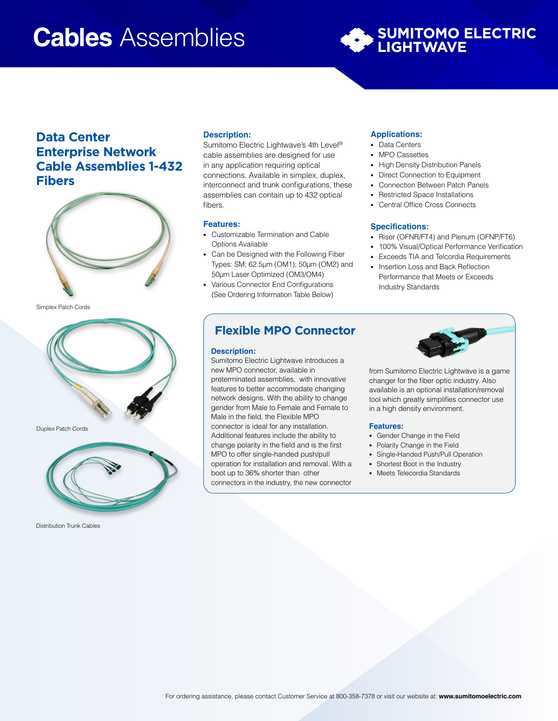# **Cables** Assemblies



## **Data Center Enterprise Network Cable Assemblies 1-432 Fibers**



Simplex Patch Cords



Duplex Patch Cords



Distribution Trunk Cables

#### **Description:**

Sumitomo Electric Lightwave's 4th Level® cable assemblies are designed for use in any application requiring optical connections. Available in simplex, duplex, interconnect and trunk configurations, these assemblies can contain up to 432 optical fibers.

#### **Features:**

- Customizable Termination and Cable Options Available
- Can be Designed with the Following Fiber Types: SM; 62.5µm (OM1); 50µm (OM2) and 50µm Laser Optimized (OM3/OM4)
- Various Connector End Configurations (See Ordering Information Table Below)

#### **Applications:**

- Data Centers
- MPO Cassettes
- High Density Distribution Panels
- Direct Connection to Equipment
- Connection Between Patch Panels
- Restricted Space Installations
- Central Office Cross Connects

#### **Specifications:**

- Riser (OFNR/FT4) and Plenum (OFNP/FT6)
- 100% Visual/Optical Performance Verification
- Exceeds TIA and Telcordia Requirements
- Insertion Loss and Back Reflection Performance that Meets or Exceeds Industry Standards

### **Flexible MPO Connector**

#### **Description:**

Sumitomo Electric Lightwave introduces a new MPO connector, available in preterminated assemblies, with innovative features to better accommodate changing network designs. With the ability to change gender from Male to Female and Female to Male in the field, the Flexible MPO connector is ideal for any installation. Additional features include the ability to change polarity in the field and is the first MPO to offer single-handed push/pull operation for installation and removal. With a boot up to 36% shorter than other connectors in the industry, the new connector



from Sumitomo Electric Lightwave is a game changer for the fiber optic industry. Also available is an optional installation/removal tool which greatly simplifies connector use in a high density environment.

#### **Features:**

- Gender Change in the Field
- Polarity Change in the Field
- Single-Handed Push/Pull Operation
- Shortest Boot in the Industry
- Meets Telecordia Standards